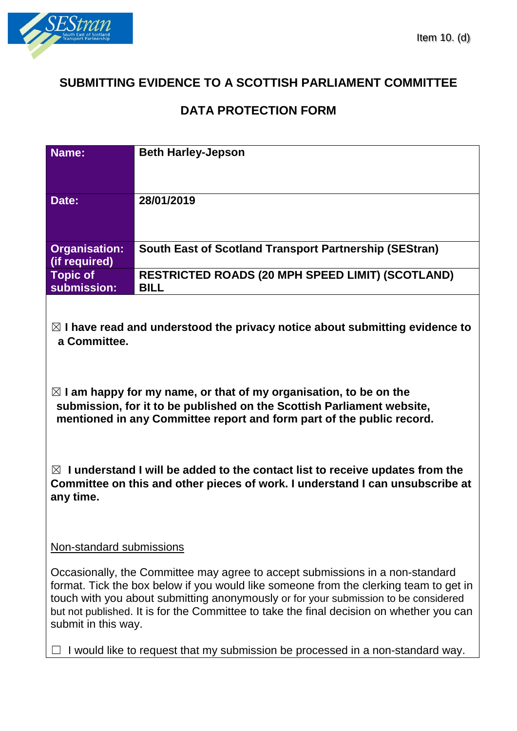

# **SUBMITTING EVIDENCE TO A SCOTTISH PARLIAMENT COMMITTEE**

## **DATA PROTECTION FORM**

| Name:                                                                                                                                                                                                                                                                                                                                                                            | <b>Beth Harley-Jepson</b>                                              |
|----------------------------------------------------------------------------------------------------------------------------------------------------------------------------------------------------------------------------------------------------------------------------------------------------------------------------------------------------------------------------------|------------------------------------------------------------------------|
| Date:                                                                                                                                                                                                                                                                                                                                                                            | 28/01/2019                                                             |
| <b>Organisation:</b><br>(if required)                                                                                                                                                                                                                                                                                                                                            | South East of Scotland Transport Partnership (SEStran)                 |
| <b>Topic of</b><br>submission:                                                                                                                                                                                                                                                                                                                                                   | <b>RESTRICTED ROADS (20 MPH SPEED LIMIT) (SCOTLAND)</b><br><b>BILL</b> |
| $\boxtimes$ I have read and understood the privacy notice about submitting evidence to<br>a Committee.                                                                                                                                                                                                                                                                           |                                                                        |
| $\boxtimes$ I am happy for my name, or that of my organisation, to be on the<br>submission, for it to be published on the Scottish Parliament website,<br>mentioned in any Committee report and form part of the public record.                                                                                                                                                  |                                                                        |
| $\boxtimes$ I understand I will be added to the contact list to receive updates from the<br>Committee on this and other pieces of work. I understand I can unsubscribe at<br>any time.                                                                                                                                                                                           |                                                                        |
| Non-standard submissions                                                                                                                                                                                                                                                                                                                                                         |                                                                        |
| Occasionally, the Committee may agree to accept submissions in a non-standard<br>format. Tick the box below if you would like someone from the clerking team to get in<br>touch with you about submitting anonymously or for your submission to be considered<br>but not published. It is for the Committee to take the final decision on whether you can<br>submit in this way. |                                                                        |
| I would like to request that my submission be processed in a non-standard way.                                                                                                                                                                                                                                                                                                   |                                                                        |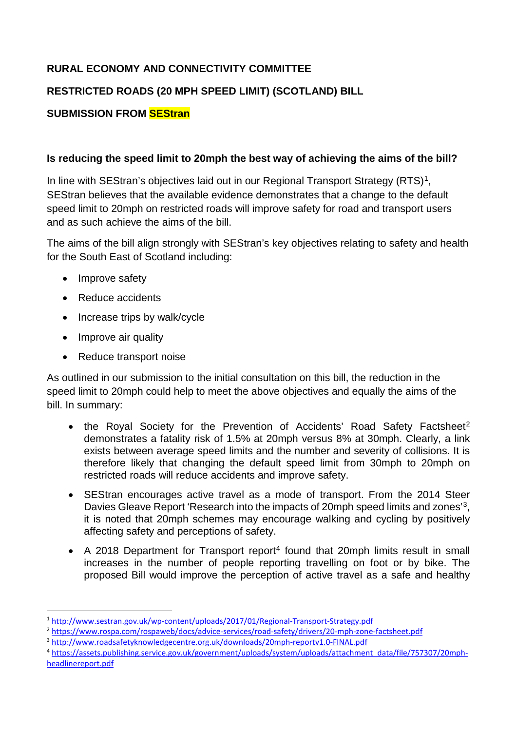## **RURAL ECONOMY AND CONNECTIVITY COMMITTEE**

### **RESTRICTED ROADS (20 MPH SPEED LIMIT) (SCOTLAND) BILL**

#### **SUBMISSION FROM SEStran**

#### **Is reducing the speed limit to 20mph the best way of achieving the aims of the bill?**

In line with SEStran's objectives laid out in our Regional Transport Strategy (RTS)<sup>[1](#page-1-0)</sup>, SEStran believes that the available evidence demonstrates that a change to the default speed limit to 20mph on restricted roads will improve safety for road and transport users and as such achieve the aims of the bill.

The aims of the bill align strongly with SEStran's key objectives relating to safety and health for the South East of Scotland including:

- Improve safety
- Reduce accidents
- Increase trips by walk/cycle
- Improve air quality
- Reduce transport noise

As outlined in our submission to the initial consultation on this bill, the reduction in the speed limit to 20mph could help to meet the above objectives and equally the aims of the bill. In summary:

- the Royal Society for the Prevention of Accidents' Road Safety Factsheet<sup>[2](#page-1-1)</sup> demonstrates a fatality risk of 1.5% at 20mph versus 8% at 30mph. Clearly, a link exists between average speed limits and the number and severity of collisions. It is therefore likely that changing the default speed limit from 30mph to 20mph on restricted roads will reduce accidents and improve safety.
- SEStran encourages active travel as a mode of transport. From the 2014 Steer Davies Gleave Report 'Research into the impacts of 20mph speed limits and zones'[3,](#page-1-2) it is noted that 20mph schemes may encourage walking and cycling by positively affecting safety and perceptions of safety.
- A 2018 Department for Transport report<sup>[4](#page-1-3)</sup> found that 20mph limits result in small increases in the number of people reporting travelling on foot or by bike. The proposed Bill would improve the perception of active travel as a safe and healthy

<sup>&</sup>lt;u>.</u> <sup>1</sup> <http://www.sestran.gov.uk/wp-content/uploads/2017/01/Regional-Transport-Strategy.pdf>

<span id="page-1-1"></span><span id="page-1-0"></span><sup>2</sup> <https://www.rospa.com/rospaweb/docs/advice-services/road-safety/drivers/20-mph-zone-factsheet.pdf>

<span id="page-1-2"></span><sup>3</sup> <http://www.roadsafetyknowledgecentre.org.uk/downloads/20mph-reportv1.0-FINAL.pdf>

<span id="page-1-3"></span><sup>4</sup> [https://assets.publishing.service.gov.uk/government/uploads/system/uploads/attachment\\_data/file/757307/20mph](https://assets.publishing.service.gov.uk/government/uploads/system/uploads/attachment_data/file/757307/20mph-headlinereport.pdf)[headlinereport.pdf](https://assets.publishing.service.gov.uk/government/uploads/system/uploads/attachment_data/file/757307/20mph-headlinereport.pdf)